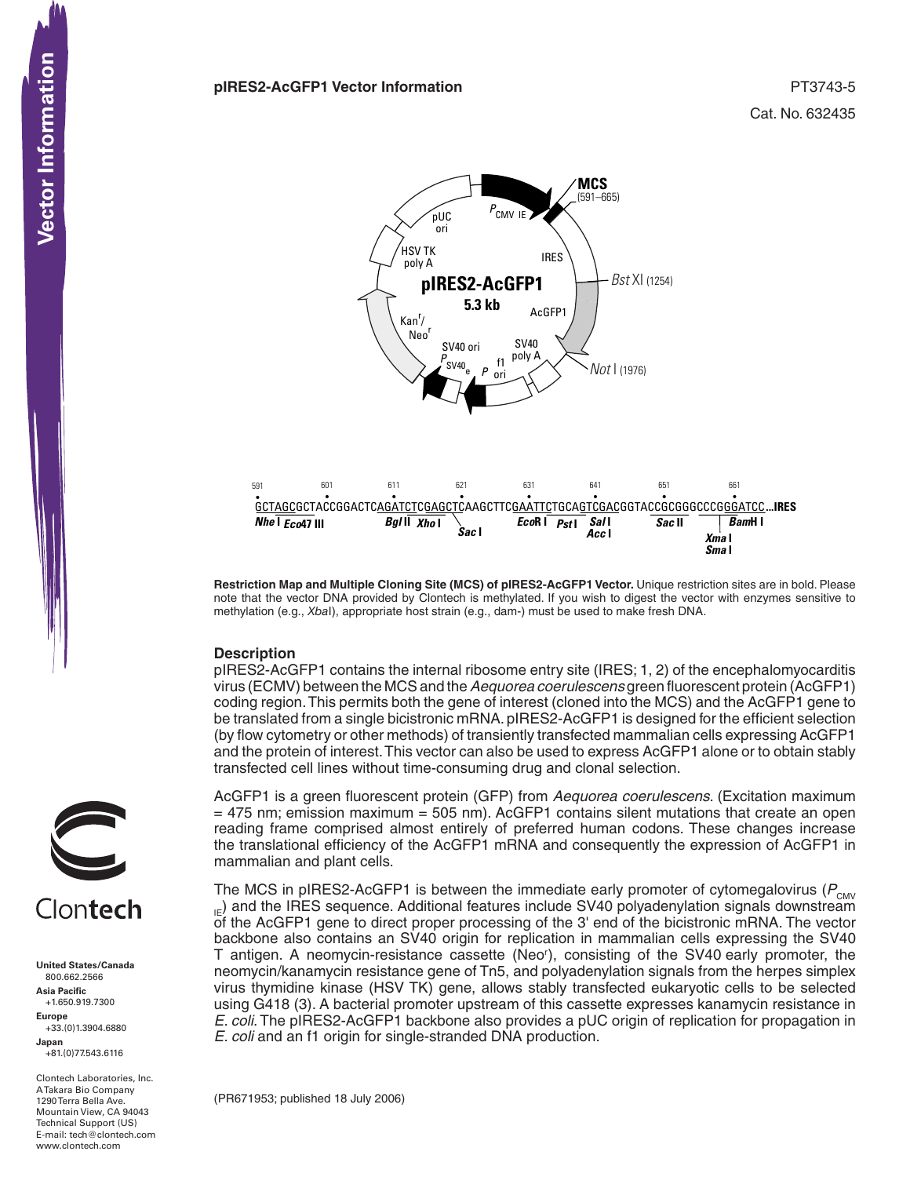

**Restriction Map and Multiple Cloning Site (MCS) of pIRES2-AcGFP1 Vector.** Unique restriction sites are in bold. Please note that the vector DNA provided by Clontech is methylated. If you wish to digest the vector with enzymes sensitive to methylation (e.g., *Xba*I), appropriate host strain (e.g., dam-) must be used to make fresh DNA.

### **Description**

pIRES2-AcGFP1 contains the internal ribosome entry site (IRES; 1, 2) of the encephalomyocarditis virus (ECMV) between the MCSand the*Aequorea coerulescens* green fluorescent protein (AcGFP1) coding region.This permits both the gene of interest (cloned into the MCS) and the AcGFP1 gene to be translated from a single bicistronic mRNA. pIRES2-AcGFP1 is designed for the efficient selection (by flow cytometry or other methods) of transiently transfected mammalian cells expressing AcGFP1 and the protein of interest.This vector can also be used to express AcGFP1 alone or to obtain stably transfected cell lines without time-consuming drug and clonal selection.

AcGFP1 is a green fluorescent protein (GFP) from *Aequorea coerulescens*. (Excitation maximum  $=$  475 nm; emission maximum  $=$  505 nm). AcGFP1 contains silent mutations that create an open reading frame comprised almost entirely of preferred human codons. These changes increase the translational efficiency of the AcGFP1 mRNA and consequently the expression of AcGFP1 in mammalian and plant cells.

The MCS in pIRES2-AcGFP1 is between the immediate early promoter of cytomegalovirus ( $P_{\text{CWV}}$  $_{\text{IF}}$ ) and the IRES sequence. Additional features include SV40 polyadenylation signals downstream of the AcGFP1 gene to direct proper processing of the 3' end of the bicistronic mRNA. The vector backbone also contains an SV40 origin for replication in mammalian cells expressing the SV40 T antigen. A neomycin-resistance cassette (Neor ), consisting of the SV40 early promoter, the neomycin/kanamycin resistance gene of Tn5, and polyadenylation signals from the herpes simplex virus thymidine kinase (HSV TK) gene, allows stably transfected eukaryotic cells to be selected using G418 (3). A bacterial promoter upstream of this cassette expresses kanamycin resistance in *E. coli*. The pIRES2-AcGFP1 backbone also provides a pUC origin of replication for propagation in *E. coli* and an f1 origin for single-stranded DNA production.

(PR671953; published 18 July 2006) 



Clontech Laboratories, Inc. A Takara Bio Company 1290 Terra Bella Ave. Mountain View, CA 94043 Technical Support (US) E-mail: tech@clontech.com<br>www.clontech.com

Vector Information